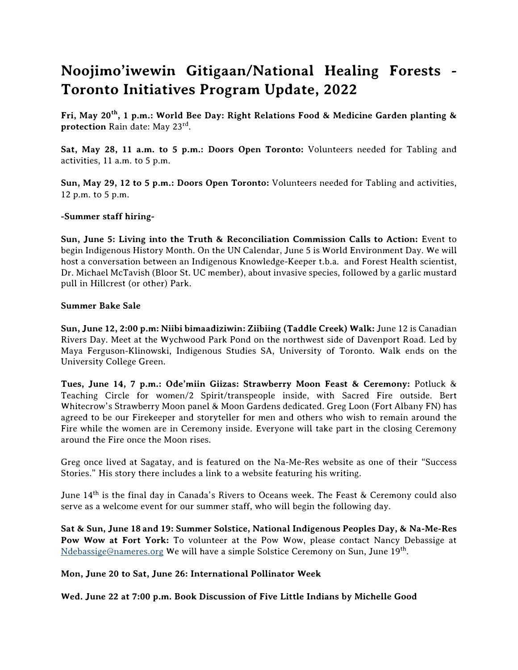# **Noojimo'iwewin Gitigaan/National Healing Forests - Toronto Initiatives Program Update, 2022**

**Fri, May 20th, 1 p.m.: World Bee Day: Right Relations Food & Medicine Garden planting & protection** *Rain date: May 23rd .*

**Sat, May 28, 11 a.m. to 5 p.m.: Doors Open Toronto:** *Volunteers needed for Tabling and activities, 11 a.m. to 5 p.m.*

**Sun, May 29, 12 to 5 p.m.: Doors Open Toronto:** *Volunteers needed for Tabling and activities, 12 p.m. to 5 p.m.*

## **-Summer staff hiring-**

**Sun, June 5: Living into the Truth & Reconciliation Commission Calls to Action:** *Event to begin Indigenous History Month. On the UN Calendar, June 5 is World Environment Day. We will host a conversation between an Indigenous Knowledge-Keeper t.b.a. and Forest Health scientist, Dr. Michael McTavish (Bloor St. UC member), about invasive species, followed by a garlic mustard pull in Hillcrest (or other) Park.*

#### **Summer Bake Sale**

**Sun, June 12, 2:00 p.m: Niibi bimaadiziwin: Ziibiing (Taddle Creek) Walk:** *June 12 is Canadian Rivers Day. Meet at the Wychwood Park Pond on the northwest side of Davenport Road. Led by Maya Ferguson-Klinowski, Indigenous Studies SA, University of Toronto. Walk ends on the University College Green.*

**Tues, June 14, 7 p.m.: Ode'miin Giizas: Strawberry Moon Feast & Ceremony:** *Potluck & Teaching Circle for women/2 Spirit/transpeople inside, with Sacred Fire outside. Bert Whitecrow's Strawberry Moon panel & Moon Gardens dedicated. Greg Loon (Fort Albany FN) has agreed to be our Firekeeper and storyteller for men and others who wish to remain around the Fire while the women are in Ceremony inside. Everyone will take part in the closing Ceremony around the Fire once the Moon rises.*

*Greg once lived at Sagatay, and is featured on the Na-Me-Res website as one of their "Success Stories." His story there includes a link to a website featuring his writing.*

*June 14th is the final day in Canada's Rivers to Oceans week. The Feast & Ceremony could also serve as a welcome event for our summer staff, who will begin the following day.*

**Sat & Sun, June 18 and 19: Summer Solstice, National Indigenous Peoples Day, & Na-Me-Res Pow Wow at Fort York:** *To volunteer at the Pow Wow, please contact Nancy Debassige at [Ndebassige@nameres.org](about:blank) We will have a simple Solstice Ceremony on Sun, June 19th .*

#### **Mon, June 20 to Sat, June 26: International Pollinator Week**

**Wed. June 22 at 7:00 p.m. Book Discussion of Five Little Indians by Michelle Good**